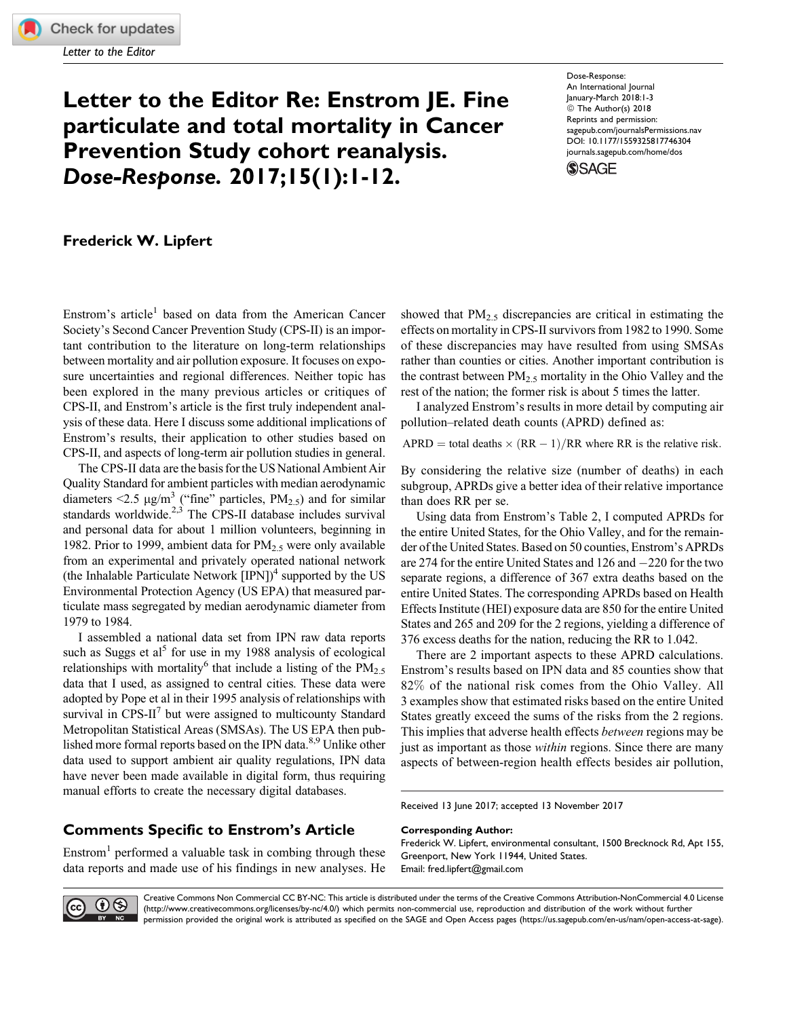Letter to the Editor

# Letter to the Editor Re: Enstrom JE. Fine particulate and total mortality in Cancer Prevention Study cohort reanalysis. Dose-Response. 2017;15(1):1-12.

Dose-Response: An International Journal January-March 2018:1-3 © The Author(s) 2018 Reprints and permission: [sagepub.com/journalsPermissions.nav](https://us.sagepub.com/en-us/journals-permissions) [DOI: 10.1177/1559325817746304](https://doi.org/10.1177/1559325817746304) [journals.sagepub.com/home/dos](http://journals.sagepub.com/home/dos) **SSAGE** 

Frederick W. Lipfert

Enstrom's article<sup>1</sup> based on data from the American Cancer Society's Second Cancer Prevention Study (CPS-II) is an important contribution to the literature on long-term relationships between mortality and air pollution exposure. It focuses on exposure uncertainties and regional differences. Neither topic has been explored in the many previous articles or critiques of CPS-II, and Enstrom's article is the first truly independent analysis of these data. Here I discuss some additional implications of Enstrom's results, their application to other studies based on CPS-II, and aspects of long-term air pollution studies in general.

The CPS-II data are the basis for the US National Ambient Air Quality Standard for ambient particles with median aerodynamic diameters <2.5  $\mu$ g/m<sup>3</sup> ("fine" particles, PM<sub>2.5</sub>) and for similar standards worldwide. $2,3$  The CPS-II database includes survival and personal data for about 1 million volunteers, beginning in 1982. Prior to 1999, ambient data for  $PM<sub>2.5</sub>$  were only available from an experimental and privately operated national network (the Inhalable Particulate Network  $[IPN]^4$  supported by the US Environmental Protection Agency (US EPA) that measured particulate mass segregated by median aerodynamic diameter from 1979 to 1984.

I assembled a national data set from IPN raw data reports such as Suggs et al<sup>5</sup> for use in my 1988 analysis of ecological relationships with mortality<sup>6</sup> that include a listing of the PM<sub>2.5</sub> data that I used, as assigned to central cities. These data were adopted by Pope et al in their 1995 analysis of relationships with survival in  $CPS-II^7$  but were assigned to multicounty Standard Metropolitan Statistical Areas (SMSAs). The US EPA then published more formal reports based on the IPN data. $8.9$  Unlike other data used to support ambient air quality regulations, IPN data have never been made available in digital form, thus requiring manual efforts to create the necessary digital databases.

## Comments Specific to Enstrom's Article

Enstrom<sup>1</sup> performed a valuable task in combing through these data reports and made use of his findings in new analyses. He showed that  $PM<sub>2.5</sub>$  discrepancies are critical in estimating the effects on mortality in CPS-II survivors from 1982 to 1990. Some of these discrepancies may have resulted from using SMSAs rather than counties or cities. Another important contribution is the contrast between  $PM_{2.5}$  mortality in the Ohio Valley and the rest of the nation; the former risk is about 5 times the latter.

I analyzed Enstrom's results in more detail by computing air pollution–related death counts (APRD) defined as:

APRD = total deaths  $\times$  (RR - 1)/RR where RR is the relative risk.

By considering the relative size (number of deaths) in each subgroup, APRDs give a better idea of their relative importance than does RR per se.

Using data from Enstrom's Table 2, I computed APRDs for the entire United States, for the Ohio Valley, and for the remainder of the United States. Based on 50 counties, Enstrom's APRDs are 274 for the entire United States and  $126$  and  $-220$  for the two separate regions, a difference of 367 extra deaths based on the entire United States. The corresponding APRDs based on Health Effects Institute (HEI) exposure data are 850 for the entire United States and 265 and 209 for the 2 regions, yielding a difference of 376 excess deaths for the nation, reducing the RR to 1.042.

There are 2 important aspects to these APRD calculations. Enstrom's results based on IPN data and 85 counties show that 82% of the national risk comes from the Ohio Valley. All 3 examples show that estimated risks based on the entire United States greatly exceed the sums of the risks from the 2 regions. This implies that adverse health effects between regions may be just as important as those *within* regions. Since there are many aspects of between-region health effects besides air pollution,

Received 13 June 2017; accepted 13 November 2017

#### Corresponding Author:

Frederick W. Lipfert, environmental consultant, 1500 Brecknock Rd, Apt 155, Greenport, New York 11944, United States. Email: [fred.lipfert@gmail.com](mailto:fred.lipfert@gmail.com)



Creative Commons Non Commercial CC BY-NC: This article is distributed under the terms of the Creative Commons Attribution-NonCommercial 4.0 License (http://www.creativecommons.org/licenses/by-nc/4.0/) which permits non-commercial use, reproduction and distribution of the work without further permission provided the original work is attributed as specified on the SAGE and Open Access pages (https://us.sagepub.com/en-us/nam/open-access-at-sage).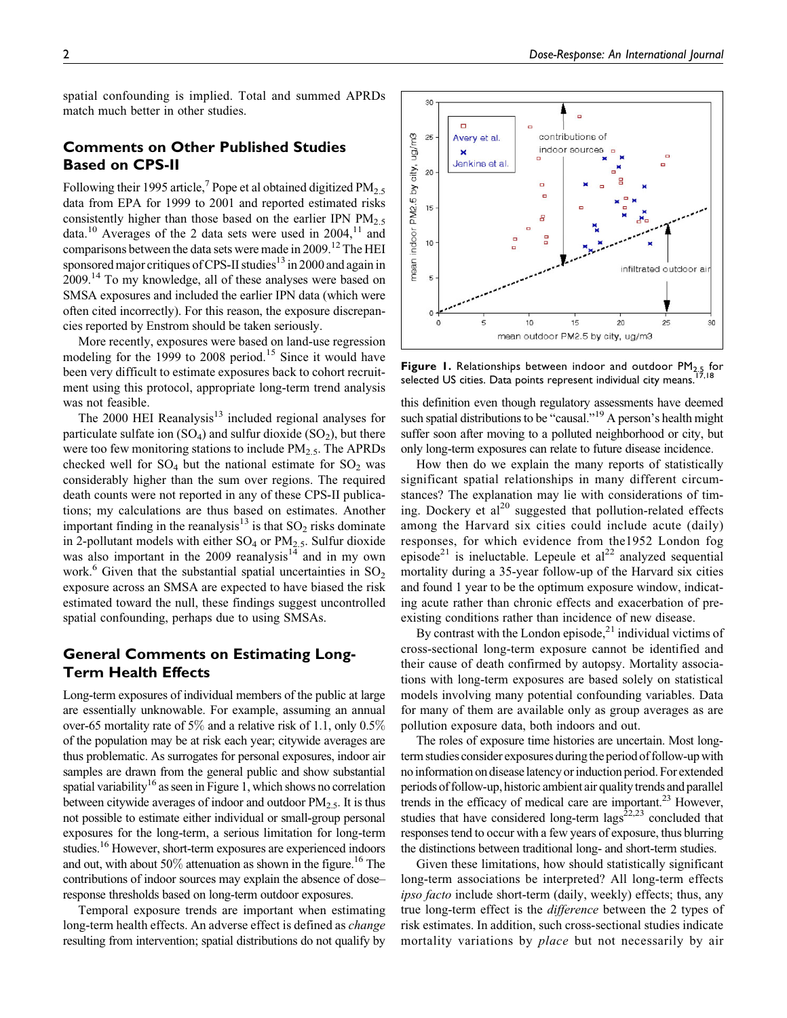spatial confounding is implied. Total and summed APRDs match much better in other studies.

## Comments on Other Published Studies Based on CPS-II

Following their 1995 article,<sup>7</sup> Pope et al obtained digitized  $PM_{2.5}$ data from EPA for 1999 to 2001 and reported estimated risks consistently higher than those based on the earlier IPN  $PM_{2.5}$ data.<sup>10</sup> Averages of the 2 data sets were used in 2004,<sup>11</sup> and comparisons between the data sets were made in 2009.<sup>12</sup> The HEI sponsored major critiques of CPS-II studies<sup>13</sup> in 2000 and again in 2009.<sup>14</sup> To my knowledge, all of these analyses were based on SMSA exposures and included the earlier IPN data (which were often cited incorrectly). For this reason, the exposure discrepancies reported by Enstrom should be taken seriously.

More recently, exposures were based on land-use regression modeling for the 1999 to 2008 period.<sup>15</sup> Since it would have been very difficult to estimate exposures back to cohort recruitment using this protocol, appropriate long-term trend analysis was not feasible.

The  $2000$  HEI Reanalysis<sup>13</sup> included regional analyses for particulate sulfate ion  $(SO_4)$  and sulfur dioxide  $(SO_2)$ , but there were too few monitoring stations to include  $PM_{2.5}$ . The APRDs checked well for  $SO_4$  but the national estimate for  $SO_2$  was considerably higher than the sum over regions. The required death counts were not reported in any of these CPS-II publications; my calculations are thus based on estimates. Another important finding in the reanalysis<sup>13</sup> is that  $SO_2$  risks dominate in 2-pollutant models with either  $SO_4$  or  $PM_{2.5}$ . Sulfur dioxide was also important in the 2009 reanalysis $14$  and in my own work.<sup>6</sup> Given that the substantial spatial uncertainties in  $SO<sub>2</sub>$ exposure across an SMSA are expected to have biased the risk estimated toward the null, these findings suggest uncontrolled spatial confounding, perhaps due to using SMSAs.

## General Comments on Estimating Long-Term Health Effects

Long-term exposures of individual members of the public at large are essentially unknowable. For example, assuming an annual over-65 mortality rate of 5% and a relative risk of 1.1, only 0.5% of the population may be at risk each year; citywide averages are thus problematic. As surrogates for personal exposures, indoor air samples are drawn from the general public and show substantial spatial variability<sup>16</sup> as seen in Figure 1, which shows no correlation between citywide averages of indoor and outdoor PM<sub>2.5</sub>. It is thus not possible to estimate either individual or small-group personal exposures for the long-term, a serious limitation for long-term studies.16 However, short-term exposures are experienced indoors and out, with about  $50\%$  attenuation as shown in the figure.<sup>16</sup> The contributions of indoor sources may explain the absence of dose– response thresholds based on long-term outdoor exposures.

Temporal exposure trends are important when estimating long-term health effects. An adverse effect is defined as change resulting from intervention; spatial distributions do not qualify by



**Figure 1.** Relationships between indoor and outdoor  $PM_{2,5}$  for selected US cities. Data points represent individual city means.<sup>17,18</sup>

this definition even though regulatory assessments have deemed such spatial distributions to be "causal."<sup>19</sup> A person's health might suffer soon after moving to a polluted neighborhood or city, but only long-term exposures can relate to future disease incidence.

How then do we explain the many reports of statistically significant spatial relationships in many different circumstances? The explanation may lie with considerations of timing. Dockery et  $al^{20}$  suggested that pollution-related effects among the Harvard six cities could include acute (daily) responses, for which evidence from the1952 London fog episode<sup>21</sup> is ineluctable. Lepeule et al<sup>22</sup> analyzed sequential mortality during a 35-year follow-up of the Harvard six cities and found 1 year to be the optimum exposure window, indicating acute rather than chronic effects and exacerbation of preexisting conditions rather than incidence of new disease.

By contrast with the London episode, $^{21}$  individual victims of cross-sectional long-term exposure cannot be identified and their cause of death confirmed by autopsy. Mortality associations with long-term exposures are based solely on statistical models involving many potential confounding variables. Data for many of them are available only as group averages as are pollution exposure data, both indoors and out.

The roles of exposure time histories are uncertain. Most longterm studies consider exposures duringthe period of follow-up with no information on disease latency or induction period. For extended periods of follow-up, historic ambient air quality trends and parallel trends in the efficacy of medical care are important.<sup>23</sup> However, studies that have considered long-term  $\text{lags}^{22,23}$  concluded that responses tend to occur with a few years of exposure, thus blurring the distinctions between traditional long- and short-term studies.

Given these limitations, how should statistically significant long-term associations be interpreted? All long-term effects ipso facto include short-term (daily, weekly) effects; thus, any true long-term effect is the difference between the 2 types of risk estimates. In addition, such cross-sectional studies indicate mortality variations by place but not necessarily by air